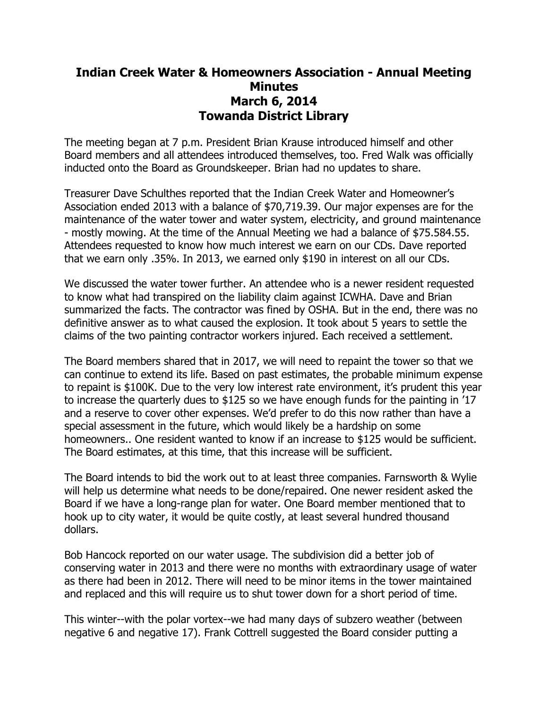## **Indian Creek Water & Homeowners Association - Annual Meeting Minutes March 6, 2014 Towanda District Library**

The meeting began at 7 p.m. President Brian Krause introduced himself and other Board members and all attendees introduced themselves, too. Fred Walk was officially inducted onto the Board as Groundskeeper. Brian had no updates to share.

Treasurer Dave Schulthes reported that the Indian Creek Water and Homeowner's Association ended 2013 with a balance of \$70,719.39. Our major expenses are for the maintenance of the water tower and water system, electricity, and ground maintenance - mostly mowing. At the time of the Annual Meeting we had a balance of \$75.584.55. Attendees requested to know how much interest we earn on our CDs. Dave reported that we earn only .35%. In 2013, we earned only \$190 in interest on all our CDs.

We discussed the water tower further. An attendee who is a newer resident requested to know what had transpired on the liability claim against ICWHA. Dave and Brian summarized the facts. The contractor was fined by OSHA. But in the end, there was no definitive answer as to what caused the explosion. It took about 5 years to settle the claims of the two painting contractor workers injured. Each received a settlement.

The Board members shared that in 2017, we will need to repaint the tower so that we can continue to extend its life. Based on past estimates, the probable minimum expense to repaint is \$100K. Due to the very low interest rate environment, it's prudent this year to increase the quarterly dues to \$125 so we have enough funds for the painting in '17 and a reserve to cover other expenses. We'd prefer to do this now rather than have a special assessment in the future, which would likely be a hardship on some homeowners.. One resident wanted to know if an increase to \$125 would be sufficient. The Board estimates, at this time, that this increase will be sufficient.

The Board intends to bid the work out to at least three companies. Farnsworth & Wylie will help us determine what needs to be done/repaired. One newer resident asked the Board if we have a long-range plan for water. One Board member mentioned that to hook up to city water, it would be quite costly, at least several hundred thousand dollars.

Bob Hancock reported on our water usage. The subdivision did a better job of conserving water in 2013 and there were no months with extraordinary usage of water as there had been in 2012. There will need to be minor items in the tower maintained and replaced and this will require us to shut tower down for a short period of time.

This winter--with the polar vortex--we had many days of subzero weather (between negative 6 and negative 17). Frank Cottrell suggested the Board consider putting a